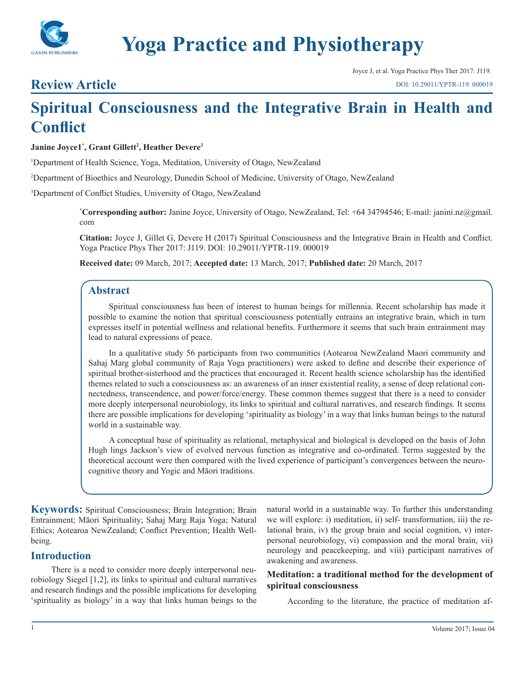

# **Yoga Practice and Physiotherapy**

Joyce J, et al. Yoga Practice Phys Ther 2017: J119. [DOI: 10.29011/YPTR-119. 000019](http://doi.org/10.29011/YPTR-119. 000019)

### **Review Article**

## **Spiritual Consciousness and the Integrative Brain in Health and Conflict**

#### **Janine Joyce1\* , Grant Gillett2 , Heather Devere3**

1 Department of Health Science, Yoga, Meditation, University of Otago, NewZealand

2 Department of Bioethics and Neurology, Dunedin School of Medicine, University of Otago, NewZealand

3 Department of Conflict Studies, University of Otago, NewZealand

**\* Corresponding author:** Janine Joyce, University of Otago, NewZealand, Tel: +64 34794546; E-mail: janini.nz@gmail. com

**Citation:** Joyce J, Gillet G, Devere H (2017) Spiritual Consciousness and the Integrative Brain in Health and Conflict. Yoga Practice Phys Ther 2017: J119. DOI: 10.29011/YPTR-119. 000019

**Received date:** 09 March, 2017; **Accepted date:** 13 March, 2017; **Published date:** 20 March, 2017

#### **Abstract**

Spiritual consciousness has been of interest to human beings for millennia. Recent scholarship has made it possible to examine the notion that spiritual consciousness potentially entrains an integrative brain, which in turn expresses itself in potential wellness and relational benefits. Furthermore it seems that such brain entrainment may lead to natural expressions of peace.

In a qualitative study 56 participants from two communities (Aotearoa NewZealand Maori community and Sahaj Marg global community of Raja Yoga practitioners) were asked to define and describe their experience of spiritual brother-sisterhood and the practices that encouraged it. Recent health science scholarship has the identified themes related to such a consciousness as: an awareness of an inner existential reality, a sense of deep relational connectedness, transcendence, and power/force/energy. These common themes suggest that there is a need to consider more deeply interpersonal neurobiology, its links to spiritual and cultural narratives, and research findings. It seems there are possible implications for developing 'spirituality as biology' in a way that links human beings to the natural world in a sustainable way.

A conceptual base of spirituality as relational, metaphysical and biological is developed on the basis of John Hugh lings Jackson's view of evolved nervous function as integrative and co-ordinated. Terms suggested by the theoretical account were then compared with the lived experience of participant's convergences between the neurocognitive theory and Yogic and Māori traditions.

**Keywords:** Spiritual Consciousness; Brain Integration; Brain Entrainment; Māori Spirituality; Sahaj Marg Raja Yoga; Natural Ethics; Aotearoa NewZealand; Conflict Prevention; Health Wellbeing.

#### **Introduction**

There is a need to consider more deeply interpersonal neurobiology Siegel [1,2], its links to spiritual and cultural narratives and research findings and the possible implications for developing 'spirituality as biology' in a way that links human beings to the natural world in a sustainable way. To further this understanding we will explore: i) meditation, ii) self- transformation, iii) the relational brain, iv) the group brain and social cognition, v) interpersonal neurobiology, vi) compassion and the moral brain, vii) neurology and peacekeeping, and viii) participant narratives of awakening and awareness.

#### **Meditation: a traditional method for the development of spiritual consciousness**

According to the literature, the practice of meditation af-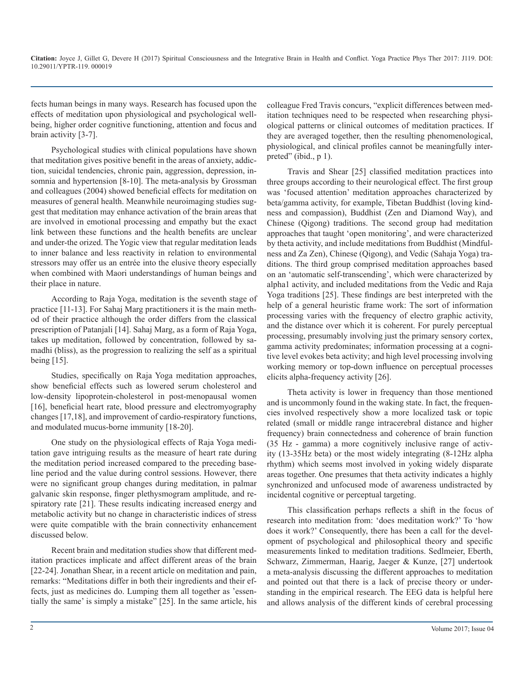fects human beings in many ways. Research has focused upon the effects of meditation upon physiological and psychological wellbeing, higher order cognitive functioning, attention and focus and brain activity [3-7].

Psychological studies with clinical populations have shown that meditation gives positive benefit in the areas of anxiety, addiction, suicidal tendencies, chronic pain, aggression, depression, insomnia and hypertension [8-10]. The meta-analysis by Grossman and colleagues (2004) showed beneficial effects for meditation on measures of general health. Meanwhile neuroimaging studies suggest that meditation may enhance activation of the brain areas that are involved in emotional processing and empathy but the exact link between these functions and the health benefits are unclear and under-the orized. The Yogic view that regular meditation leads to inner balance and less reactivity in relation to environmental stressors may offer us an entrée into the elusive theory especially when combined with Maori understandings of human beings and their place in nature.

According to Raja Yoga, meditation is the seventh stage of practice [11-13]. For Sahaj Marg practitioners it is the main method of their practice although the order differs from the classical prescription of Patanjali [14]. Sahaj Marg, as a form of Raja Yoga, takes up meditation, followed by concentration, followed by samadhi (bliss), as the progression to realizing the self as a spiritual being [15].

Studies, specifically on Raja Yoga meditation approaches, show beneficial effects such as lowered serum cholesterol and low-density lipoprotein-cholesterol in post-menopausal women [16], beneficial heart rate, blood pressure and electromyography changes [17,18], and improvement of cardio-respiratory functions, and modulated mucus-borne immunity [18-20].

One study on the physiological effects of Raja Yoga meditation gave intriguing results as the measure of heart rate during the meditation period increased compared to the preceding baseline period and the value during control sessions. However, there were no significant group changes during meditation, in palmar galvanic skin response, finger plethysmogram amplitude, and respiratory rate [21]. These results indicating increased energy and metabolic activity but no change in characteristic indices of stress were quite compatible with the brain connectivity enhancement discussed below.

Recent brain and meditation studies show that different meditation practices implicate and affect different areas of the brain [22-24]. Jonathan Shear, in a recent article on meditation and pain, remarks: "Meditations differ in both their ingredients and their effects, just as medicines do. Lumping them all together as 'essentially the same' is simply a mistake" [25]. In the same article, his colleague Fred Travis concurs, "explicit differences between meditation techniques need to be respected when researching physiological patterns or clinical outcomes of meditation practices. If they are averaged together, then the resulting phenomenological, physiological, and clinical profiles cannot be meaningfully interpreted" (ibid., p 1).

Travis and Shear [25] classified meditation practices into three groups according to their neurological effect. The first group was 'focused attention' meditation approaches characterized by beta/gamma activity, for example, Tibetan Buddhist (loving kindness and compassion), Buddhist (Zen and Diamond Way), and Chinese (Qigong) traditions. The second group had meditation approaches that taught 'open monitoring', and were characterized by theta activity, and include meditations from Buddhist (Mindfulness and Za Zen), Chinese (Qigong), and Vedic (Sahaja Yoga) traditions. The third group comprised meditation approaches based on an 'automatic self-transcending', which were characterized by alpha1 activity, and included meditations from the Vedic and Raja Yoga traditions [25]. These findings are best interpreted with the help of a general heuristic frame work: The sort of information processing varies with the frequency of electro graphic activity, and the distance over which it is coherent. For purely perceptual processing, presumably involving just the primary sensory cortex, gamma activity predominates; information processing at a cognitive level evokes beta activity; and high level processing involving working memory or top-down influence on perceptual processes elicits alpha-frequency activity [26].

Theta activity is lower in frequency than those mentioned and is uncommonly found in the waking state. In fact, the frequencies involved respectively show a more localized task or topic related (small or middle range intracerebral distance and higher frequency) brain connectedness and coherence of brain function (35 Hz - gamma) a more cognitively inclusive range of activity (13-35Hz beta) or the most widely integrating (8-12Hz alpha rhythm) which seems most involved in yoking widely disparate areas together. One presumes that theta activity indicates a highly synchronized and unfocused mode of awareness undistracted by incidental cognitive or perceptual targeting.

This classification perhaps reflects a shift in the focus of research into meditation from: 'does meditation work?' To 'how does it work?' Consequently, there has been a call for the development of psychological and philosophical theory and specific measurements linked to meditation traditions. Sedlmeier, Eberth, Schwarz, Zimmerman, Haarig, Jaeger & Kunze, [27] undertook a meta-analysis discussing the different approaches to meditation and pointed out that there is a lack of precise theory or understanding in the empirical research. The EEG data is helpful here and allows analysis of the different kinds of cerebral processing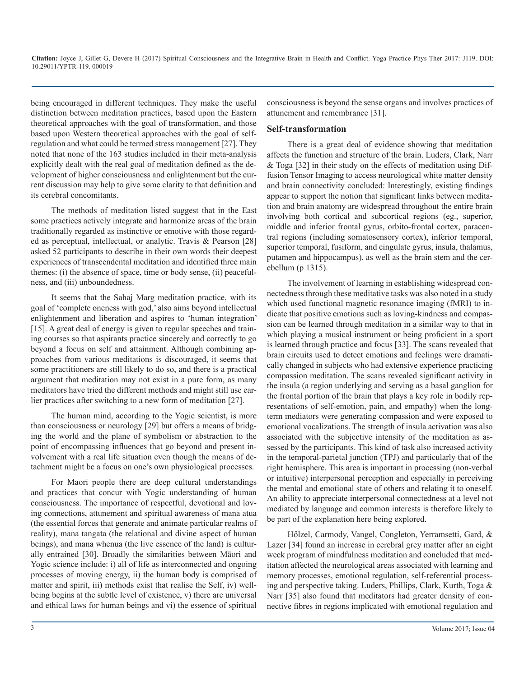being encouraged in different techniques. They make the useful distinction between meditation practices, based upon the Eastern theoretical approaches with the goal of transformation, and those based upon Western theoretical approaches with the goal of selfregulation and what could be termed stress management [27]. They noted that none of the 163 studies included in their meta-analysis explicitly dealt with the real goal of meditation defined as the development of higher consciousness and enlightenment but the current discussion may help to give some clarity to that definition and its cerebral concomitants.

The methods of meditation listed suggest that in the East some practices actively integrate and harmonize areas of the brain traditionally regarded as instinctive or emotive with those regarded as perceptual, intellectual, or analytic. Travis & Pearson [28] asked 52 participants to describe in their own words their deepest experiences of transcendental meditation and identified three main themes: (i) the absence of space, time or body sense, (ii) peacefulness, and (iii) unboundedness.

It seems that the Sahaj Marg meditation practice, with its goal of 'complete oneness with god,' also aims beyond intellectual enlightenment and liberation and aspires to 'human integration' [15]. A great deal of energy is given to regular speeches and training courses so that aspirants practice sincerely and correctly to go beyond a focus on self and attainment. Although combining approaches from various meditations is discouraged, it seems that some practitioners are still likely to do so, and there is a practical argument that meditation may not exist in a pure form, as many meditators have tried the different methods and might still use earlier practices after switching to a new form of meditation [27].

The human mind, according to the Yogic scientist, is more than consciousness or neurology [29] but offers a means of bridging the world and the plane of symbolism or abstraction to the point of encompassing influences that go beyond and present involvement with a real life situation even though the means of detachment might be a focus on one's own physiological processes.

For Maori people there are deep cultural understandings and practices that concur with Yogic understanding of human consciousness. The importance of respectful, devotional and loving connections, attunement and spiritual awareness of mana atua (the essential forces that generate and animate particular realms of reality), mana tangata (the relational and divine aspect of human beings), and mana whenua (the live essence of the land) is culturally entrained [30]. Broadly the similarities between Māori and Yogic science include: i) all of life as interconnected and ongoing processes of moving energy, ii) the human body is comprised of matter and spirit, iii) methods exist that realise the Self, iv) wellbeing begins at the subtle level of existence, v) there are universal and ethical laws for human beings and vi) the essence of spiritual

consciousness is beyond the sense organs and involves practices of attunement and remembrance [31].

#### **Self-transformation**

There is a great deal of evidence showing that meditation affects the function and structure of the brain. Luders, Clark, Narr & Toga [32] in their study on the effects of meditation using Diffusion Tensor Imaging to access neurological white matter density and brain connectivity concluded: Interestingly, existing findings appear to support the notion that significant links between meditation and brain anatomy are widespread throughout the entire brain involving both cortical and subcortical regions (eg., superior, middle and inferior frontal gyrus, orbito-frontal cortex, paracentral regions (including somatosensory cortex), inferior temporal, superior temporal, fusiform, and cingulate gyrus, insula, thalamus, putamen and hippocampus), as well as the brain stem and the cerebellum (p 1315).

The involvement of learning in establishing widespread connectedness through these meditative tasks was also noted in a study which used functional magnetic resonance imaging (fMRI) to indicate that positive emotions such as loving-kindness and compassion can be learned through meditation in a similar way to that in which playing a musical instrument or being proficient in a sport is learned through practice and focus [33]. The scans revealed that brain circuits used to detect emotions and feelings were dramatically changed in subjects who had extensive experience practicing compassion meditation. The scans revealed significant activity in the insula (a region underlying and serving as a basal ganglion for the frontal portion of the brain that plays a key role in bodily representations of self-emotion, pain, and empathy) when the longterm mediators were generating compassion and were exposed to emotional vocalizations. The strength of insula activation was also associated with the subjective intensity of the meditation as assessed by the participants. This kind of task also increased activity in the temporal-parietal junction (TPJ) and particularly that of the right hemisphere. This area is important in processing (non-verbal or intuitive) interpersonal perception and especially in perceiving the mental and emotional state of others and relating it to oneself. An ability to appreciate interpersonal connectedness at a level not mediated by language and common interests is therefore likely to be part of the explanation here being explored.

Hőlzel, Carmody, Vangel, Congleton, Yerramsetti, Gard, & Lazer [34] found an increase in cerebral grey matter after an eight week program of mindfulness meditation and concluded that meditation affected the neurological areas associated with learning and memory processes, emotional regulation, self-referential processing and perspective taking. Luders, Phillips, Clark, Kurth, Toga & Narr [35] also found that meditators had greater density of connective fibres in regions implicated with emotional regulation and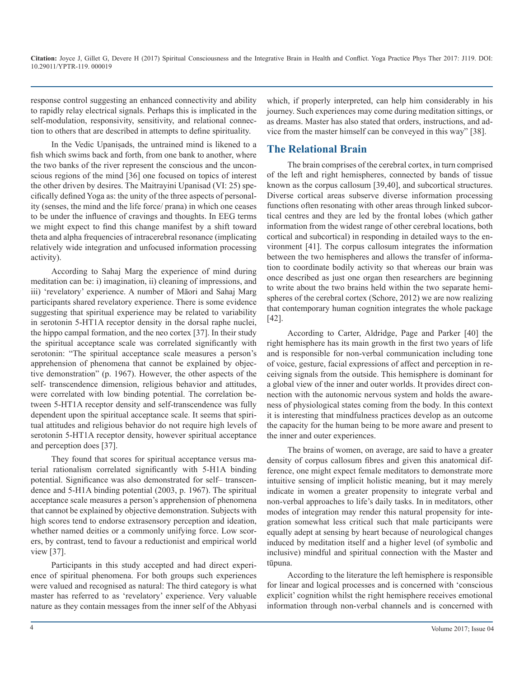response control suggesting an enhanced connectivity and ability to rapidly relay electrical signals. Perhaps this is implicated in the self-modulation, responsivity, sensitivity, and relational connection to others that are described in attempts to define spirituality.

In the Vedic Upaniṣads, the untrained mind is likened to a fish which swims back and forth, from one bank to another, where the two banks of the river represent the conscious and the unconscious regions of the mind [36] one focused on topics of interest the other driven by desires. The Maitrayini Upanisad (VI: 25) specifically defined Yoga as: the unity of the three aspects of personality (senses, the mind and the life force/ prana) in which one ceases to be under the influence of cravings and thoughts. In EEG terms we might expect to find this change manifest by a shift toward theta and alpha frequencies of intracerebral resonance (implicating relatively wide integration and unfocused information processing activity).

According to Sahaj Marg the experience of mind during meditation can be: i) imagination, ii) cleaning of impressions, and iii) 'revelatory' experience. A number of Māori and Sahaj Marg participants shared revelatory experience. There is some evidence suggesting that spiritual experience may be related to variability in serotonin 5-HT1A receptor density in the dorsal raphe nuclei, the hippo campal formation, and the neo cortex [37]. In their study the spiritual acceptance scale was correlated significantly with serotonin: "The spiritual acceptance scale measures a person's apprehension of phenomena that cannot be explained by objective demonstration" (p. 1967). However, the other aspects of the self- transcendence dimension, religious behavior and attitudes, were correlated with low binding potential. The correlation between 5-HT1A receptor density and self-transcendence was fully dependent upon the spiritual acceptance scale. It seems that spiritual attitudes and religious behavior do not require high levels of serotonin 5-HT1A receptor density, however spiritual acceptance and perception does [37].

They found that scores for spiritual acceptance versus material rationalism correlated significantly with 5-H1A binding potential. Significance was also demonstrated for self– transcendence and 5-H1A binding potential (2003, p. 1967). The spiritual acceptance scale measures a person's apprehension of phenomena that cannot be explained by objective demonstration. Subjects with high scores tend to endorse extrasensory perception and ideation, whether named deities or a commonly unifying force. Low scorers, by contrast, tend to favour a reductionist and empirical world view [37].

Participants in this study accepted and had direct experience of spiritual phenomena. For both groups such experiences were valued and recognised as natural: The third category is what master has referred to as 'revelatory' experience. Very valuable nature as they contain messages from the inner self of the Abhyasi

which, if properly interpreted, can help him considerably in his journey. Such experiences may come during meditation sittings, or as dreams. Master has also stated that orders, instructions, and advice from the master himself can be conveyed in this way" [38].

#### **The Relational Brain**

The brain comprises of the cerebral cortex, in turn comprised of the left and right hemispheres, connected by bands of tissue known as the corpus callosum [39,40], and subcortical structures. Diverse cortical areas subserve diverse information processing functions often resonating with other areas through linked subcortical centres and they are led by the frontal lobes (which gather information from the widest range of other cerebral locations, both cortical and subcortical) in responding in detailed ways to the environment [41]. The corpus callosum integrates the information between the two hemispheres and allows the transfer of information to coordinate bodily activity so that whereas our brain was once described as just one organ then researchers are beginning to write about the two brains held within the two separate hemispheres of the cerebral cortex (Schore, 2012) we are now realizing that contemporary human cognition integrates the whole package [42].

According to Carter, Aldridge, Page and Parker [40] the right hemisphere has its main growth in the first two years of life and is responsible for non-verbal communication including tone of voice, gesture, facial expressions of affect and perception in receiving signals from the outside. This hemisphere is dominant for a global view of the inner and outer worlds. It provides direct connection with the autonomic nervous system and holds the awareness of physiological states coming from the body. In this context it is interesting that mindfulness practices develop as an outcome the capacity for the human being to be more aware and present to the inner and outer experiences.

The brains of women, on average, are said to have a greater density of corpus callosum fibres and given this anatomical difference, one might expect female meditators to demonstrate more intuitive sensing of implicit holistic meaning, but it may merely indicate in women a greater propensity to integrate verbal and non-verbal approaches to life's daily tasks. In in meditators, other modes of integration may render this natural propensity for integration somewhat less critical such that male participants were equally adept at sensing by heart because of neurological changes induced by meditation itself and a higher level (of symbolic and inclusive) mindful and spiritual connection with the Master and tūpuna.

According to the literature the left hemisphere is responsible for linear and logical processes and is concerned with 'conscious explicit' cognition whilst the right hemisphere receives emotional information through non-verbal channels and is concerned with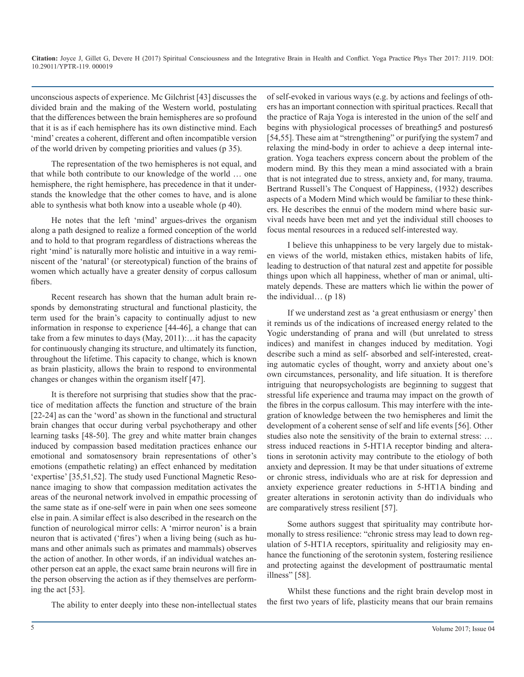unconscious aspects of experience. Mc Gilchrist [43] discusses the divided brain and the making of the Western world, postulating that the differences between the brain hemispheres are so profound that it is as if each hemisphere has its own distinctive mind. Each 'mind' creates a coherent, different and often incompatible version of the world driven by competing priorities and values (p 35).

The representation of the two hemispheres is not equal, and that while both contribute to our knowledge of the world … one hemisphere, the right hemisphere, has precedence in that it understands the knowledge that the other comes to have, and is alone able to synthesis what both know into a useable whole (p 40).

He notes that the left 'mind' argues-drives the organism along a path designed to realize a formed conception of the world and to hold to that program regardless of distractions whereas the right 'mind' is naturally more holistic and intuitive in a way reminiscent of the 'natural' (or stereotypical) function of the brains of women which actually have a greater density of corpus callosum fibers.

Recent research has shown that the human adult brain responds by demonstrating structural and functional plasticity, the term used for the brain's capacity to continually adjust to new information in response to experience [44-46], a change that can take from a few minutes to days (May, 2011):…it has the capacity for continuously changing its structure, and ultimately its function, throughout the lifetime. This capacity to change, which is known as brain plasticity, allows the brain to respond to environmental changes or changes within the organism itself [47].

It is therefore not surprising that studies show that the practice of meditation affects the function and structure of the brain [22-24] as can the 'word' as shown in the functional and structural brain changes that occur during verbal psychotherapy and other learning tasks [48-50]. The grey and white matter brain changes induced by compassion based meditation practices enhance our emotional and somatosensory brain representations of other's emotions (empathetic relating) an effect enhanced by meditation 'expertise' [35,51,52]. The study used Functional Magnetic Resonance imaging to show that compassion meditation activates the areas of the neuronal network involved in empathic processing of the same state as if one-self were in pain when one sees someone else in pain. A similar effect is also described in the research on the function of neurological mirror cells: A 'mirror neuron' is a brain neuron that is activated ('fires') when a living being (such as humans and other animals such as primates and mammals) observes the action of another. In other words, if an individual watches another person eat an apple, the exact same brain neurons will fire in the person observing the action as if they themselves are performing the act [53].

The ability to enter deeply into these non-intellectual states

of self-evoked in various ways (e.g. by actions and feelings of others has an important connection with spiritual practices. Recall that the practice of Raja Yoga is interested in the union of the self and begins with physiological processes of breathing5 and postures6 [54,55]. These aim at "strengthening" or purifying the system7 and relaxing the mind-body in order to achieve a deep internal integration. Yoga teachers express concern about the problem of the modern mind. By this they mean a mind associated with a brain that is not integrated due to stress, anxiety and, for many, trauma. Bertrand Russell's The Conquest of Happiness, (1932) describes aspects of a Modern Mind which would be familiar to these thinkers. He describes the ennui of the modern mind where basic survival needs have been met and yet the individual still chooses to focus mental resources in a reduced self-interested way.

I believe this unhappiness to be very largely due to mistaken views of the world, mistaken ethics, mistaken habits of life, leading to destruction of that natural zest and appetite for possible things upon which all happiness, whether of man or animal, ultimately depends. These are matters which lie within the power of the individual...  $(p 18)$ 

If we understand zest as 'a great enthusiasm or energy' then it reminds us of the indications of increased energy related to the Yogic understanding of prana and will (but unrelated to stress indices) and manifest in changes induced by meditation. Yogi describe such a mind as self- absorbed and self-interested, creating automatic cycles of thought, worry and anxiety about one's own circumstances, personality, and life situation. It is therefore intriguing that neuropsychologists are beginning to suggest that stressful life experience and trauma may impact on the growth of the fibres in the corpus callosum. This may interfere with the integration of knowledge between the two hemispheres and limit the development of a coherent sense of self and life events [56]. Other studies also note the sensitivity of the brain to external stress: … stress induced reactions in 5-HT1A receptor binding and alterations in serotonin activity may contribute to the etiology of both anxiety and depression. It may be that under situations of extreme or chronic stress, individuals who are at risk for depression and anxiety experience greater reductions in 5-HT1A binding and greater alterations in serotonin activity than do individuals who are comparatively stress resilient [57].

Some authors suggest that spirituality may contribute hormonally to stress resilience: "chronic stress may lead to down regulation of 5-HT1A receptors, spirituality and religiosity may enhance the functioning of the serotonin system, fostering resilience and protecting against the development of posttraumatic mental illness" [58].

Whilst these functions and the right brain develop most in the first two years of life, plasticity means that our brain remains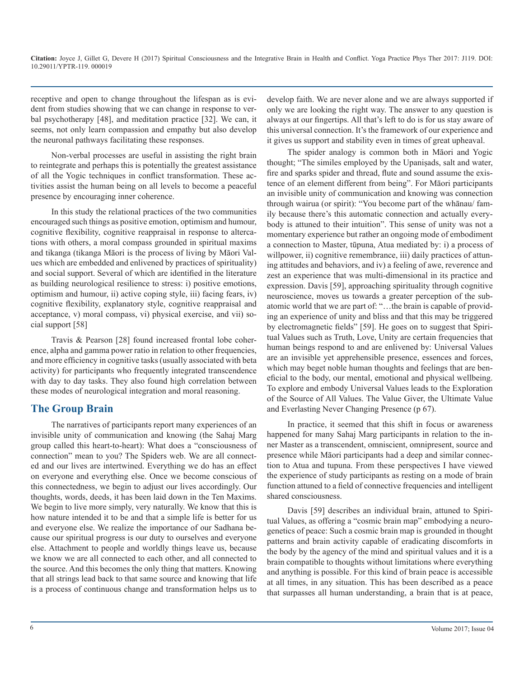receptive and open to change throughout the lifespan as is evident from studies showing that we can change in response to verbal psychotherapy [48], and meditation practice [32]. We can, it seems, not only learn compassion and empathy but also develop the neuronal pathways facilitating these responses.

Non-verbal processes are useful in assisting the right brain to reintegrate and perhaps this is potentially the greatest assistance of all the Yogic techniques in conflict transformation. These activities assist the human being on all levels to become a peaceful presence by encouraging inner coherence.

In this study the relational practices of the two communities encouraged such things as positive emotion, optimism and humour, cognitive flexibility, cognitive reappraisal in response to altercations with others, a moral compass grounded in spiritual maxims and tikanga (tikanga Māori is the process of living by Māori Values which are embedded and enlivened by practices of spirituality) and social support. Several of which are identified in the literature as building neurological resilience to stress: i) positive emotions, optimism and humour, ii) active coping style, iii) facing fears, iv) cognitive flexibility, explanatory style, cognitive reappraisal and acceptance, v) moral compass, vi) physical exercise, and vii) social support [58]

Travis & Pearson [28] found increased frontal lobe coherence, alpha and gamma power ratio in relation to other frequencies, and more efficiency in cognitive tasks (usually associated with beta activity) for participants who frequently integrated transcendence with day to day tasks. They also found high correlation between these modes of neurological integration and moral reasoning.

#### **The Group Brain**

The narratives of participants report many experiences of an invisible unity of communication and knowing (the Sahaj Marg group called this heart-to-heart): What does a "consciousness of connection" mean to you? The Spiders web. We are all connected and our lives are intertwined. Everything we do has an effect on everyone and everything else. Once we become conscious of this connectedness, we begin to adjust our lives accordingly. Our thoughts, words, deeds, it has been laid down in the Ten Maxims. We begin to live more simply, very naturally. We know that this is how nature intended it to be and that a simple life is better for us and everyone else. We realize the importance of our Sadhana because our spiritual progress is our duty to ourselves and everyone else. Attachment to people and worldly things leave us, because we know we are all connected to each other, and all connected to the source. And this becomes the only thing that matters. Knowing that all strings lead back to that same source and knowing that life is a process of continuous change and transformation helps us to

develop faith. We are never alone and we are always supported if only we are looking the right way. The answer to any question is always at our fingertips. All that's left to do is for us stay aware of this universal connection. It's the framework of our experience and it gives us support and stability even in times of great upheaval.

The spider analogy is common both in Māori and Yogic thought; "The similes employed by the Upaniṣads, salt and water, fire and sparks spider and thread, flute and sound assume the existence of an element different from being". For Māori participants an invisible unity of communication and knowing was connection through wairua (or spirit): "You become part of the whānau/ family because there's this automatic connection and actually everybody is attuned to their intuition". This sense of unity was not a momentary experience but rather an ongoing mode of embodiment a connection to Master, tūpuna, Atua mediated by: i) a process of willpower, ii) cognitive remembrance, iii) daily practices of attuning attitudes and behaviors, and iv) a feeling of awe, reverence and zest an experience that was multi-dimensional in its practice and expression. Davis [59], approaching spirituality through cognitive neuroscience, moves us towards a greater perception of the subatomic world that we are part of: "…the brain is capable of providing an experience of unity and bliss and that this may be triggered by electromagnetic fields" [59]. He goes on to suggest that Spiritual Values such as Truth, Love, Unity are certain frequencies that human beings respond to and are enlivened by: Universal Values are an invisible yet apprehensible presence, essences and forces, which may beget noble human thoughts and feelings that are beneficial to the body, our mental, emotional and physical wellbeing. To explore and embody Universal Values leads to the Exploration of the Source of All Values. The Value Giver, the Ultimate Value and Everlasting Never Changing Presence (p 67).

In practice, it seemed that this shift in focus or awareness happened for many Sahaj Marg participants in relation to the inner Master as a transcendent, omniscient, omnipresent, source and presence while Māori participants had a deep and similar connection to Atua and tupuna. From these perspectives I have viewed the experience of study participants as resting on a mode of brain function attuned to a field of connective frequencies and intelligent shared consciousness.

Davis [59] describes an individual brain, attuned to Spiritual Values, as offering a "cosmic brain map" embodying a neurogenetics of peace: Such a cosmic brain map is grounded in thought patterns and brain activity capable of eradicating discomforts in the body by the agency of the mind and spiritual values and it is a brain compatible to thoughts without limitations where everything and anything is possible. For this kind of brain peace is accessible at all times, in any situation. This has been described as a peace that surpasses all human understanding, a brain that is at peace,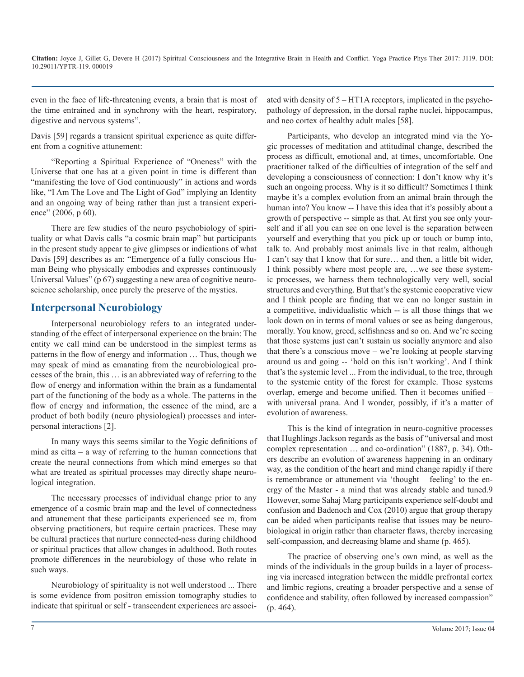even in the face of life-threatening events, a brain that is most of the time entrained and in synchrony with the heart, respiratory, digestive and nervous systems".

Davis [59] regards a transient spiritual experience as quite different from a cognitive attunement:

"Reporting a Spiritual Experience of "Oneness" with the Universe that one has at a given point in time is different than "manifesting the love of God continuously" in actions and words like, "I Am The Love and The Light of God" implying an Identity and an ongoing way of being rather than just a transient experience" (2006, p 60).

There are few studies of the neuro psychobiology of spirituality or what Davis calls "a cosmic brain map" but participants in the present study appear to give glimpses or indications of what Davis [59] describes as an: "Emergence of a fully conscious Human Being who physically embodies and expresses continuously Universal Values" (p 67) suggesting a new area of cognitive neuroscience scholarship, once purely the preserve of the mystics.

#### **Interpersonal Neurobiology**

Interpersonal neurobiology refers to an integrated understanding of the effect of interpersonal experience on the brain: The entity we call mind can be understood in the simplest terms as patterns in the flow of energy and information … Thus, though we may speak of mind as emanating from the neurobiological processes of the brain, this … is an abbreviated way of referring to the flow of energy and information within the brain as a fundamental part of the functioning of the body as a whole. The patterns in the flow of energy and information, the essence of the mind, are a product of both bodily (neuro physiological) processes and interpersonal interactions [2].

In many ways this seems similar to the Yogic definitions of mind as citta – a way of referring to the human connections that create the neural connections from which mind emerges so that what are treated as spiritual processes may directly shape neurological integration.

The necessary processes of individual change prior to any emergence of a cosmic brain map and the level of connectedness and attunement that these participants experienced see m, from observing practitioners, but require certain practices. These may be cultural practices that nurture connected-ness during childhood or spiritual practices that allow changes in adulthood. Both routes promote differences in the neurobiology of those who relate in such ways.

Neurobiology of spirituality is not well understood ... There is some evidence from positron emission tomography studies to indicate that spiritual or self - transcendent experiences are associated with density of 5 – HT1A receptors, implicated in the psychopathology of depression, in the dorsal raphe nuclei, hippocampus, and neo cortex of healthy adult males [58].

Participants, who develop an integrated mind via the Yogic processes of meditation and attitudinal change, described the process as difficult, emotional and, at times, uncomfortable. One practitioner talked of the difficulties of integration of the self and developing a consciousness of connection: I don't know why it's such an ongoing process. Why is it so difficult? Sometimes I think maybe it's a complex evolution from an animal brain through the human into? You know -- I have this idea that it's possibly about a growth of perspective -- simple as that. At first you see only yourself and if all you can see on one level is the separation between yourself and everything that you pick up or touch or bump into, talk to. And probably most animals live in that realm, although I can't say that I know that for sure… and then, a little bit wider, I think possibly where most people are, …we see these systemic processes, we harness them technologically very well, social structures and everything. But that's the systemic cooperative view and I think people are finding that we can no longer sustain in a competitive, individualistic which -- is all those things that we look down on in terms of moral values or see as being dangerous, morally. You know, greed, selfishness and so on. And we're seeing that those systems just can't sustain us socially anymore and also that there's a conscious move – we're looking at people starving around us and going -- 'hold on this isn't working'. And I think that's the systemic level ... From the individual, to the tree, through to the systemic entity of the forest for example. Those systems overlap, emerge and become unified. Then it becomes unified – with universal prana. And I wonder, possibly, if it's a matter of evolution of awareness.

This is the kind of integration in neuro-cognitive processes that Hughlings Jackson regards as the basis of "universal and most complex representation … and co-ordination" (1887, p. 34). Others describe an evolution of awareness happening in an ordinary way, as the condition of the heart and mind change rapidly if there is remembrance or attunement via 'thought – feeling' to the energy of the Master - a mind that was already stable and tuned.9 However, some Sahaj Marg participants experience self-doubt and confusion and Badenoch and Cox (2010) argue that group therapy can be aided when participants realise that issues may be neurobiological in origin rather than character flaws, thereby increasing self-compassion, and decreasing blame and shame (p. 465).

The practice of observing one's own mind, as well as the minds of the individuals in the group builds in a layer of processing via increased integration between the middle prefrontal cortex and limbic regions, creating a broader perspective and a sense of confidence and stability, often followed by increased compassion" (p. 464).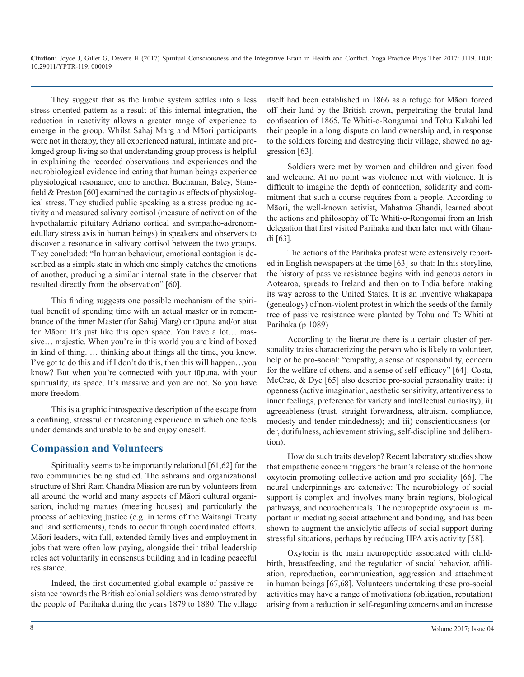They suggest that as the limbic system settles into a less stress-oriented pattern as a result of this internal integration, the reduction in reactivity allows a greater range of experience to emerge in the group. Whilst Sahaj Marg and Māori participants were not in therapy, they all experienced natural, intimate and prolonged group living so that understanding group process is helpful in explaining the recorded observations and experiences and the neurobiological evidence indicating that human beings experience physiological resonance, one to another. Buchanan, Baley, Stansfield & Preston [60] examined the contagious effects of physiological stress. They studied public speaking as a stress producing activity and measured salivary cortisol (measure of activation of the hypothalamic pituitary Adriano cortical and sympatho-adrenomedullary stress axis in human beings) in speakers and observers to discover a resonance in salivary cortisol between the two groups. They concluded: "In human behaviour, emotional contagion is described as a simple state in which one simply catches the emotions of another, producing a similar internal state in the observer that resulted directly from the observation" [60].

This finding suggests one possible mechanism of the spiritual benefit of spending time with an actual master or in remembrance of the inner Master (for Sahaj Marg) or tūpuna and/or atua for Māori: It's just like this open space. You have a lot… massive… majestic. When you're in this world you are kind of boxed in kind of thing. … thinking about things all the time, you know. I've got to do this and if I don't do this, then this will happen…you know? But when you're connected with your tūpuna, with your spirituality, its space. It's massive and you are not. So you have more freedom.

This is a graphic introspective description of the escape from a confining, stressful or threatening experience in which one feels under demands and unable to be and enjoy oneself.

#### **Compassion and Volunteers**

Spirituality seems to be importantly relational [61,62] for the two communities being studied. The ashrams and organizational structure of Shri Ram Chandra Mission are run by volunteers from all around the world and many aspects of Māori cultural organisation, including maraes (meeting houses) and particularly the process of achieving justice (e.g. in terms of the Waitangi Treaty and land settlements), tends to occur through coordinated efforts. Māori leaders, with full, extended family lives and employment in jobs that were often low paying, alongside their tribal leadership roles act voluntarily in consensus building and in leading peaceful resistance.

Indeed, the first documented global example of passive resistance towards the British colonial soldiers was demonstrated by the people of Parihaka during the years 1879 to 1880. The village itself had been established in 1866 as a refuge for Māori forced off their land by the British crown, perpetrating the brutal land confiscation of 1865. Te Whiti-o-Rongamai and Tohu Kakahi led their people in a long dispute on land ownership and, in response to the soldiers forcing and destroying their village, showed no aggression [63].

Soldiers were met by women and children and given food and welcome. At no point was violence met with violence. It is difficult to imagine the depth of connection, solidarity and commitment that such a course requires from a people. According to Māori, the well-known activist, Mahatma Ghandi, learned about the actions and philosophy of Te Whiti-o-Rongomai from an Irish delegation that first visited Parihaka and then later met with Ghandi [63].

The actions of the Parihaka protest were extensively reported in English newspapers at the time [63] so that: In this storyline, the history of passive resistance begins with indigenous actors in Aotearoa, spreads to Ireland and then on to India before making its way across to the United States. It is an inventive whakapapa (genealogy) of non-violent protest in which the seeds of the family tree of passive resistance were planted by Tohu and Te Whiti at Parihaka (p 1089)

According to the literature there is a certain cluster of personality traits characterizing the person who is likely to volunteer, help or be pro-social: "empathy, a sense of responsibility, concern for the welfare of others, and a sense of self-efficacy" [64]. Costa, McCrae, & Dye [65] also describe pro-social personality traits: i) openness (active imagination, aesthetic sensitivity, attentiveness to inner feelings, preference for variety and intellectual curiosity); ii) agreeableness (trust, straight forwardness, altruism, compliance, modesty and tender mindedness); and iii) conscientiousness (order, dutifulness, achievement striving, self-discipline and deliberation).

How do such traits develop? Recent laboratory studies show that empathetic concern triggers the brain's release of the hormone oxytocin promoting collective action and pro-sociality [66]. The neural underpinnings are extensive: The neurobiology of social support is complex and involves many brain regions, biological pathways, and neurochemicals. The neuropeptide oxytocin is important in mediating social attachment and bonding, and has been shown to augment the anxiolytic affects of social support during stressful situations, perhaps by reducing HPA axis activity [58].

Oxytocin is the main neuropeptide associated with childbirth, breastfeeding, and the regulation of social behavior, affiliation, reproduction, communication, aggression and attachment in human beings [67,68]. Volunteers undertaking these pro-social activities may have a range of motivations (obligation, reputation) arising from a reduction in self-regarding concerns and an increase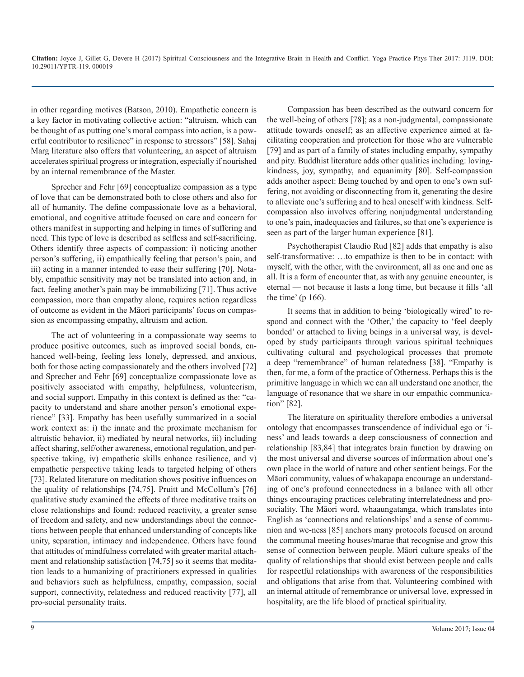in other regarding motives (Batson, 2010). Empathetic concern is a key factor in motivating collective action: "altruism, which can be thought of as putting one's moral compass into action, is a powerful contributor to resilience" in response to stressors" [58]. Sahaj Marg literature also offers that volunteering, an aspect of altruism accelerates spiritual progress or integration, especially if nourished by an internal remembrance of the Master.

Sprecher and Fehr [69] conceptualize compassion as a type of love that can be demonstrated both to close others and also for all of humanity. The define compassionate love as a behavioral, emotional, and cognitive attitude focused on care and concern for others manifest in supporting and helping in times of suffering and need. This type of love is described as selfless and self-sacrificing. Others identify three aspects of compassion: i) noticing another person's suffering, ii) empathically feeling that person's pain, and iii) acting in a manner intended to ease their suffering [70]. Notably, empathic sensitivity may not be translated into action and, in fact, feeling another's pain may be immobilizing [71]. Thus active compassion, more than empathy alone, requires action regardless of outcome as evident in the Māori participants' focus on compassion as encompassing empathy, altruism and action.

The act of volunteering in a compassionate way seems to produce positive outcomes, such as improved social bonds, enhanced well-being, feeling less lonely, depressed, and anxious, both for those acting compassionately and the others involved [72] and Sprecher and Fehr [69] conceptualize compassionate love as positively associated with empathy, helpfulness, volunteerism, and social support. Empathy in this context is defined as the: "capacity to understand and share another person's emotional experience" [33]. Empathy has been usefully summarized in a social work context as: i) the innate and the proximate mechanism for altruistic behavior, ii) mediated by neural networks, iii) including affect sharing, self/other awareness, emotional regulation, and perspective taking, iv) empathetic skills enhance resilience, and v) empathetic perspective taking leads to targeted helping of others [73]. Related literature on meditation shows positive influences on the quality of relationships [74,75]. Pruitt and McCollum's [76] qualitative study examined the effects of three meditative traits on close relationships and found: reduced reactivity, a greater sense of freedom and safety, and new understandings about the connections between people that enhanced understanding of concepts like unity, separation, intimacy and independence. Others have found that attitudes of mindfulness correlated with greater marital attachment and relationship satisfaction [74,75] so it seems that meditation leads to a humanizing of practitioners expressed in qualities and behaviors such as helpfulness, empathy, compassion, social support, connectivity, relatedness and reduced reactivity [77], all pro-social personality traits.

Compassion has been described as the outward concern for the well-being of others [78]; as a non-judgmental, compassionate attitude towards oneself; as an affective experience aimed at facilitating cooperation and protection for those who are vulnerable [79] and as part of a family of states including empathy, sympathy and pity. Buddhist literature adds other qualities including: lovingkindness, joy, sympathy, and equanimity [80]. Self-compassion adds another aspect: Being touched by and open to one's own suffering, not avoiding or disconnecting from it, generating the desire to alleviate one's suffering and to heal oneself with kindness. Selfcompassion also involves offering nonjudgmental understanding to one's pain, inadequacies and failures, so that one's experience is seen as part of the larger human experience [81].

Psychotherapist Claudio Rud [82] adds that empathy is also self-transformative: …to empathize is then to be in contact: with myself, with the other, with the environment, all as one and one as all. It is a form of encounter that, as with any genuine encounter, is eternal — not because it lasts a long time, but because it fills 'all the time' (p 166).

It seems that in addition to being 'biologically wired' to respond and connect with the 'Other,' the capacity to 'feel deeply bonded' or attached to living beings in a universal way, is developed by study participants through various spiritual techniques cultivating cultural and psychological processes that promote a deep "remembrance" of human relatedness [38]. "Empathy is then, for me, a form of the practice of Otherness. Perhaps this is the primitive language in which we can all understand one another, the language of resonance that we share in our empathic communication" [82].

The literature on spirituality therefore embodies a universal ontology that encompasses transcendence of individual ego or 'iness' and leads towards a deep consciousness of connection and relationship [83,84] that integrates brain function by drawing on the most universal and diverse sources of information about one's own place in the world of nature and other sentient beings. For the Māori community, values of whakapapa encourage an understanding of one's profound connectedness in a balance with all other things encouraging practices celebrating interrelatedness and prosociality. The Māori word, whaaungatanga, which translates into English as 'connections and relationships' and a sense of communion and we-ness [85] anchors many protocols focused on around the communal meeting houses/marae that recognise and grow this sense of connection between people. Māori culture speaks of the quality of relationships that should exist between people and calls for respectful relationships with awareness of the responsibilities and obligations that arise from that. Volunteering combined with an internal attitude of remembrance or universal love, expressed in hospitality, are the life blood of practical spirituality.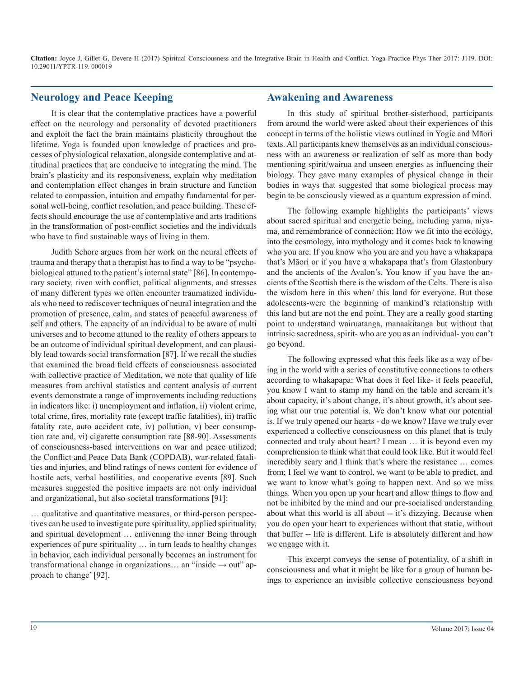#### **Neurology and Peace Keeping**

It is clear that the contemplative practices have a powerful effect on the neurology and personality of devoted practitioners and exploit the fact the brain maintains plasticity throughout the lifetime. Yoga is founded upon knowledge of practices and processes of physiological relaxation, alongside contemplative and attitudinal practices that are conducive to integrating the mind. The brain's plasticity and its responsiveness, explain why meditation and contemplation effect changes in brain structure and function related to compassion, intuition and empathy fundamental for personal well-being, conflict resolution, and peace building. These effects should encourage the use of contemplative and arts traditions in the transformation of post-conflict societies and the individuals who have to find sustainable ways of living in them.

Judith Schore argues from her work on the neural effects of trauma and therapy that a therapist has to find a way to be "psychobiological attuned to the patient's internal state" [86]. In contemporary society, riven with conflict, political alignments, and stresses of many different types we often encounter traumatized individuals who need to rediscover techniques of neural integration and the promotion of presence, calm, and states of peaceful awareness of self and others. The capacity of an individual to be aware of multi universes and to become attuned to the reality of others appears to be an outcome of individual spiritual development, and can plausibly lead towards social transformation [87]. If we recall the studies that examined the broad field effects of consciousness associated with collective practice of Meditation, we note that quality of life measures from archival statistics and content analysis of current events demonstrate a range of improvements including reductions in indicators like: i) unemployment and inflation, ii) violent crime, total crime, fires, mortality rate (except traffic fatalities), iii) traffic fatality rate, auto accident rate, iv) pollution, v) beer consumption rate and, vi) cigarette consumption rate [88-90]. Assessments of consciousness-based interventions on war and peace utilized; the Conflict and Peace Data Bank (COPDAB), war-related fatalities and injuries, and blind ratings of news content for evidence of hostile acts, verbal hostilities, and cooperative events [89]. Such measures suggested the positive impacts are not only individual and organizational, but also societal transformations [91]:

… qualitative and quantitative measures, or third-person perspectives can be used to investigate pure spirituality, applied spirituality, and spiritual development … enlivening the inner Being through experiences of pure spirituality … in turn leads to healthy changes in behavior, each individual personally becomes an instrument for transformational change in organizations... an "inside  $\rightarrow$  out" approach to change' [92].

#### **Awakening and Awareness**

In this study of spiritual brother-sisterhood, participants from around the world were asked about their experiences of this concept in terms of the holistic views outlined in Yogic and Māori texts. All participants knew themselves as an individual consciousness with an awareness or realization of self as more than body mentioning spirit/wairua and unseen energies as influencing their biology. They gave many examples of physical change in their bodies in ways that suggested that some biological process may begin to be consciously viewed as a quantum expression of mind.

The following example highlights the participants' views about sacred spiritual and energetic being, including yama, niyama, and remembrance of connection: How we fit into the ecology, into the cosmology, into mythology and it comes back to knowing who you are. If you know who you are and you have a whakapapa that's Māori or if you have a whakapapa that's from Glastonbury and the ancients of the Avalon's. You know if you have the ancients of the Scottish there is the wisdom of the Celts. There is also the wisdom here in this when/ this land for everyone. But those adolescents-were the beginning of mankind's relationship with this land but are not the end point. They are a really good starting point to understand wairuatanga, manaakitanga but without that intrinsic sacredness, spirit- who are you as an individual- you can't go beyond.

The following expressed what this feels like as a way of being in the world with a series of constitutive connections to others according to whakapapa: What does it feel like- it feels peaceful, you know I want to stamp my hand on the table and scream it's about capacity, it's about change, it's about growth, it's about seeing what our true potential is. We don't know what our potential is. If we truly opened our hearts - do we know? Have we truly ever experienced a collective consciousness on this planet that is truly connected and truly about heart? I mean … it is beyond even my comprehension to think what that could look like. But it would feel incredibly scary and I think that's where the resistance … comes from; I feel we want to control, we want to be able to predict, and we want to know what's going to happen next. And so we miss things. When you open up your heart and allow things to flow and not be inhibited by the mind and our pre-socialised understanding about what this world is all about -- it's dizzying. Because when you do open your heart to experiences without that static, without that buffer -- life is different. Life is absolutely different and how we engage with it.

This excerpt conveys the sense of potentiality, of a shift in consciousness and what it might be like for a group of human beings to experience an invisible collective consciousness beyond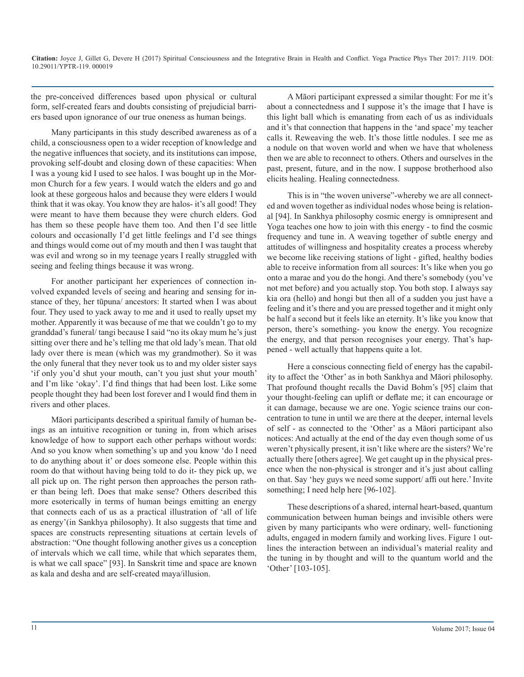the pre-conceived differences based upon physical or cultural form, self-created fears and doubts consisting of prejudicial barriers based upon ignorance of our true oneness as human beings.

Many participants in this study described awareness as of a child, a consciousness open to a wider reception of knowledge and the negative influences that society, and its institutions can impose, provoking self-doubt and closing down of these capacities: When I was a young kid I used to see halos. I was bought up in the Mormon Church for a few years. I would watch the elders and go and look at these gorgeous halos and because they were elders I would think that it was okay. You know they are halos- it's all good! They were meant to have them because they were church elders. God has them so these people have them too. And then I'd see little colours and occasionally I'd get little feelings and I'd see things and things would come out of my mouth and then I was taught that was evil and wrong so in my teenage years I really struggled with seeing and feeling things because it was wrong.

For another participant her experiences of connection involved expanded levels of seeing and hearing and sensing for instance of they, her tūpuna/ ancestors: It started when I was about four. They used to yack away to me and it used to really upset my mother. Apparently it was because of me that we couldn't go to my granddad's funeral/ tangi because I said "no its okay mum he's just sitting over there and he's telling me that old lady's mean. That old lady over there is mean (which was my grandmother). So it was the only funeral that they never took us to and my older sister says 'if only you'd shut your mouth, can't you just shut your mouth' and I'm like 'okay'. I'd find things that had been lost. Like some people thought they had been lost forever and I would find them in rivers and other places.

Māori participants described a spiritual family of human beings as an intuitive recognition or tuning in, from which arises knowledge of how to support each other perhaps without words: And so you know when something's up and you know 'do I need to do anything about it' or does someone else. People within this room do that without having being told to do it- they pick up, we all pick up on. The right person then approaches the person rather than being left. Does that make sense? Others described this more esoterically in terms of human beings emitting an energy that connects each of us as a practical illustration of 'all of life as energy'(in Sankhya philosophy). It also suggests that time and spaces are constructs representing situations at certain levels of abstraction: "One thought following another gives us a conception of intervals which we call time, while that which separates them, is what we call space" [93]. In Sanskrit time and space are known as kala and desha and are self-created maya/illusion.

A Māori participant expressed a similar thought: For me it's about a connectedness and I suppose it's the image that I have is this light ball which is emanating from each of us as individuals and it's that connection that happens in the 'and space' my teacher calls it. Reweaving the web. It's those little nodules. I see me as a nodule on that woven world and when we have that wholeness then we are able to reconnect to others. Others and ourselves in the past, present, future, and in the now. I suppose brotherhood also elicits healing. Healing connectedness.

This is in "the woven universe"-whereby we are all connected and woven together as individual nodes whose being is relational [94]. In Sankhya philosophy cosmic energy is omnipresent and Yoga teaches one how to join with this energy - to find the cosmic frequency and tune in. A weaving together of subtle energy and attitudes of willingness and hospitality creates a process whereby we become like receiving stations of light - gifted, healthy bodies able to receive information from all sources: It's like when you go onto a marae and you do the hongi. And there's somebody (you've not met before) and you actually stop. You both stop. I always say kia ora (hello) and hongi but then all of a sudden you just have a feeling and it's there and you are pressed together and it might only be half a second but it feels like an eternity. It's like you know that person, there's something- you know the energy. You recognize the energy, and that person recognises your energy. That's happened - well actually that happens quite a lot.

Here a conscious connecting field of energy has the capability to affect the 'Other' as in both Sankhya and Māori philosophy. That profound thought recalls the David Bohm's [95] claim that your thought-feeling can uplift or deflate me; it can encourage or it can damage, because we are one. Yogic science trains our concentration to tune in until we are there at the deeper, internal levels of self - as connected to the 'Other' as a Māori participant also notices: And actually at the end of the day even though some of us weren't physically present, it isn't like where are the sisters? We're actually there [others agree]. We get caught up in the physical presence when the non-physical is stronger and it's just about calling on that. Say 'hey guys we need some support/ affi out here.' Invite something; I need help here [96-102].

These descriptions of a shared, internal heart-based, quantum communication between human beings and invisible others were given by many participants who were ordinary, well- functioning adults, engaged in modern family and working lives. Figure 1 outlines the interaction between an individual's material reality and the tuning in by thought and will to the quantum world and the 'Other' [103-105].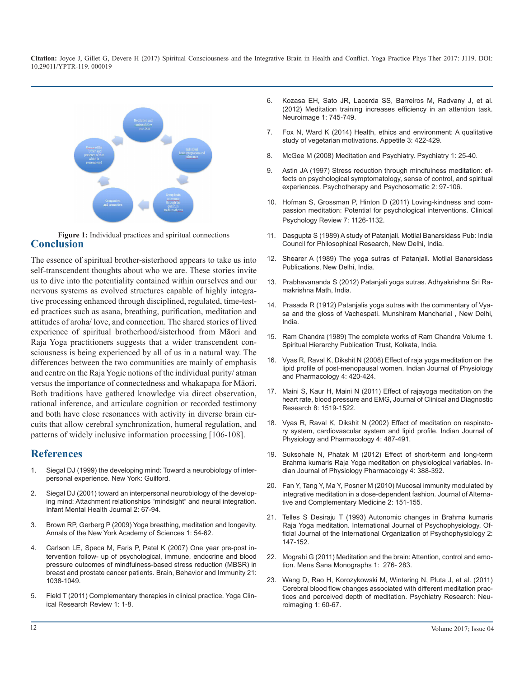

**Conclusion Figure 1:** Individual practices and spiritual connections

The essence of spiritual brother-sisterhood appears to take us into self-transcendent thoughts about who we are. These stories invite us to dive into the potentiality contained within ourselves and our nervous systems as evolved structures capable of highly integrative processing enhanced through disciplined, regulated, time-tested practices such as asana, breathing, purification, meditation and attitudes of aroha/ love, and connection. The shared stories of lived experience of spiritual brotherhood/sisterhood from Māori and Raja Yoga practitioners suggests that a wider transcendent consciousness is being experienced by all of us in a natural way. The differences between the two communities are mainly of emphasis and centre on the Raja Yogic notions of the individual purity/ atman versus the importance of connectedness and whakapapa for Māori. Both traditions have gathered knowledge via direct observation, rational inference, and articulate cognition or recorded testimony and both have close resonances with activity in diverse brain circuits that allow cerebral synchronization, humeral regulation, and patterns of widely inclusive information processing [106-108].

#### **References**

- 1. [Siegal DJ \(1999\) the developing mind: Toward a neurobiology of inter](https://books.google.co.in/books/about/The_Developing_Mind.html?id=zM24QgAACAAJ&redir_esc=y)personal experience. New York: Guilford.
- 2. [Siegal DJ \(2001\) toward an interpersonal neurobiology of the develop](http://onlinelibrary.wiley.com/doi/10.1002/1097-0355(200101/04)22:1%3C67::AID-IMHJ3%3E3.0.CO;2-G/abstract)ing mind: Attachment relationships "mindsight" and neural integration. [Infant Mental Health Journal 2: 67-94.](http://onlinelibrary.wiley.com/doi/10.1002/1097-0355(200101/04)22:1%3C67::AID-IMHJ3%3E3.0.CO;2-G/abstract)
- 3. [Brown RP, Gerberg P \(2009\) Yoga breathing, meditation and longevity.](https://www.ncbi.nlm.nih.gov/pubmed/19735239) Annals of the New York Academy of Sciences 1: 54-62.
- 4. [Carlson LE, Speca M, Faris P, Patel K \(2007\) One year pre-post in](https://www.ncbi.nlm.nih.gov/pubmed/17521871)tervention follow- up of psychological, immune, endocrine and blood [pressure outcomes of mindfulness-based stress reduction \(MBSR\) in](https://www.ncbi.nlm.nih.gov/pubmed/17521871)  [breast and prostate cancer patients. Brain, Behavior and Immunity 21:](https://www.ncbi.nlm.nih.gov/pubmed/17521871)  [1038-1049.](https://www.ncbi.nlm.nih.gov/pubmed/17521871)
- 5. [Field T \(2011\) Complementary therapies in clinical practice. Yoga Clin](https://www.journals.elsevier.com/complementary-therapies-in-clinical-practice)ical Research Review 1: 1-8.
- 6. Kozasa EH, Sato JR, Lacerda SS, Barreiros M, Radvany J, et al. (2012) Meditation training increases efficiency in an attention task. Neuroimage 1: 745-749.
- 7. [Fox N, Ward K \(2014\) Health, ethics and environment: A qualitative](http://www.sciencedirect.com/science/article/pii/S0195666307003686)  study of vegetarian motivations. Appetite 3: 422-429.
- 8. [McGee M \(2008\) Meditation and Psychiatry. Psychiatry 1: 25-40.](https://www.ncbi.nlm.nih.gov/pmc/articles/PMC2719544/)
- 9. [Astin JA \(1997\) Stress reduction through mindfulness meditation: ef](https://www.ncbi.nlm.nih.gov/pubmed/9097338)fects on psychological symptomatology, sense of control, and spiritual [experiences. Psychotherapy and Psychosomatic 2: 97-106.](https://www.ncbi.nlm.nih.gov/pubmed/9097338)
- 10. [Hofman S, Grossman P, Hinton D \(2011\) Loving-kindness and com](https://www.ncbi.nlm.nih.gov/pubmed/21840289)passion meditation: Potential for psychological interventions. Clinical [Psychology Review 7: 1126-1132.](https://www.ncbi.nlm.nih.gov/pubmed/21840289)
- 11. Dasgupta S (1989) A study of Patanjali. Motilal Banarsidass Pub: India Council for Philosophical Research, New Delhi, India.
- 12. Shearer A (1989) The yoga sutras of Patanjali. Motilal Banarsidass Publications, New Delhi, India.
- 13. Prabhavananda S (2012) Patanjali yoga sutras. Adhyakrishna Sri Ramakrishna Math, India.
- 14. Prasada R (1912) Patanjalis yoga sutras with the commentary of Vyasa and the gloss of Vachespati. Munshiram Mancharlal , New Delhi, India.
- 15. Ram Chandra (1989) The complete works of Ram Chandra Volume 1. Spiritual Hierarchy Publication Trust, Kolkata, India.
- 16. [Vyas R, Raval K, Dikshit N \(2008\) Effect of raja yoga meditation on the](https://www.ncbi.nlm.nih.gov/pubmed/19585761)  lipid profile of post-menopausal women. Indian Journal of Physiology [and Pharmacology 4: 420-424.](https://www.ncbi.nlm.nih.gov/pubmed/19585761)
- 17. [Maini S, Kaur H, Maini N \(2011\) Effect of rajayoga meditation on the](http://www.jcdr.net/articles/PDF/1780/6  3406.pdf)  heart rate, blood pressure and EMG, Journal of Clinical and Diagnostic [Research 8: 1519-1522.](http://www.jcdr.net/articles/PDF/1780/6 - 3406.pdf)
- 18. [Vyas R, Raval K, Dikshit N \(2002\) Effect of meditation on respirato](https://www.ncbi.nlm.nih.gov/pubmed/12683226)ry system, cardiovascular system and lipid profile. Indian Journal of [Physiology and Pharmacology 4: 487-491.](https://www.ncbi.nlm.nih.gov/pubmed/12683226)
- 19. [Suksohale N, Phatak M \(2012\) Effect of short-term and long-term](https://www.ncbi.nlm.nih.gov/pubmed/23781660)  Brahma kumaris Raja Yoga meditation on physiological variables. In[dian Journal of Physiology Pharmacology 4: 388-392.](https://www.ncbi.nlm.nih.gov/pubmed/23781660)
- 20. [Fan Y, Tang Y, Ma Y, Posner M \(2010\) Mucosal immunity modulated by](https://www.ncbi.nlm.nih.gov/pubmed/20105036)  integrative meditation in a dose-dependent fashion. Journal of Alterna[tive and Complementary Medicine 2: 151-155.](https://www.ncbi.nlm.nih.gov/pubmed/20105036)
- 21. [Telles S Desiraju T \(1993\) Autonomic changes in Brahma kumaris](https://www.ncbi.nlm.nih.gov/pubmed/8244842)  Raja Yoga meditation. International Journal of Psychophysiology, Of[ficial Journal of the International Organization of Psychophysiology 2:](https://www.ncbi.nlm.nih.gov/pubmed/8244842) [147-152.](https://www.ncbi.nlm.nih.gov/pubmed/8244842)
- 22. [Mograbi G \(2011\) Meditation and the brain: Attention, control and emo](https://www.ncbi.nlm.nih.gov/pmc/articles/PMC3115297/)tion. Mens Sana Monographs 1: 276- 283.
- 23. [Wang D, Rao H, Korozykowski M, Wintering N, Pluta J, et al. \(2011\)](https://www.ncbi.nlm.nih.gov/pubmed/21145215)  Cerebral blood flow changes associated with different meditation prac[tices and perceived depth of meditation. Psychiatry Research: Neu](https://www.ncbi.nlm.nih.gov/pubmed/21145215)[roimaging 1: 60-67.](https://www.ncbi.nlm.nih.gov/pubmed/21145215)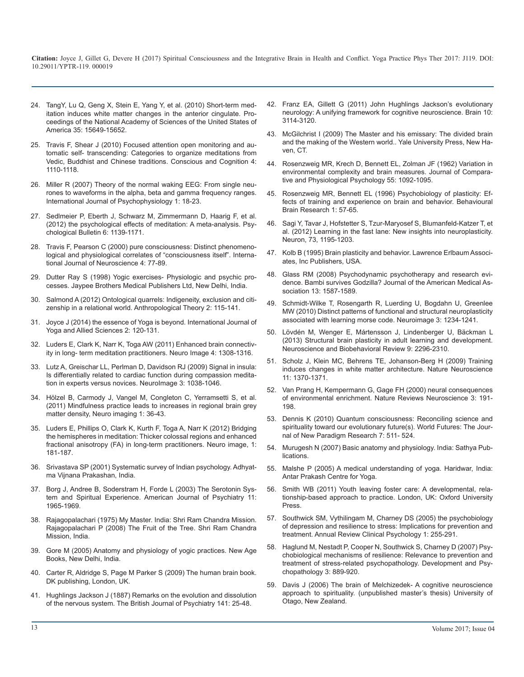- 24. [TangY, Lu Q, Geng X, Stein E, Yang Y, et al. \(2010\) Short-term med](http://www.pnas.org/content/107/35/15649.abstract)[itation induces white matter changes in the anterior cingulate. Pro](http://www.pnas.org/content/107/35/15649.abstract)[ceedings of the National Academy of Sciences of the United States of](http://www.pnas.org/content/107/35/15649.abstract) [America 35: 15649-15652.](http://www.pnas.org/content/107/35/15649.abstract)
- 25. [Travis F, Shear J \(2010\) Focused attention open monitoring and au](https://www.ncbi.nlm.nih.gov/pubmed/20167507)[tomatic self- transcending: Categories to organize meditations from](https://www.ncbi.nlm.nih.gov/pubmed/20167507)  [Vedic, Buddhist and Chinese traditions. Conscious and Cognition 4:](https://www.ncbi.nlm.nih.gov/pubmed/20167507)  [1110-1118.](https://www.ncbi.nlm.nih.gov/pubmed/20167507)
- 26. [Miller R \(2007\) Theory of the normal waking EEG: From single neu](https://www.ncbi.nlm.nih.gov/pubmed/16997407)[rones to waveforms in the alpha, beta and gamma frequency ranges.](https://www.ncbi.nlm.nih.gov/pubmed/16997407)  [International Journal of Psychophysiology 1: 18-23.](https://www.ncbi.nlm.nih.gov/pubmed/16997407)
- 27. [Sedlmeier P, Eberth J, Schwarz M, Zimmermann D, Haarig F, et al.](https://www.ncbi.nlm.nih.gov/pubmed/22582738)  [\(2012\) the psychological effects of meditation: A meta-analysis. Psy](https://www.ncbi.nlm.nih.gov/pubmed/22582738)[chological Bulletin 6: 1139-1171.](https://www.ncbi.nlm.nih.gov/pubmed/22582738)
- 28. [Travis F, Pearson C \(2000\) pure consciousness: Distinct phenomeno](https://www.ncbi.nlm.nih.gov/pubmed/10938552)[logical and physiological correlates of "consciousness itself". Interna](https://www.ncbi.nlm.nih.gov/pubmed/10938552)[tional Journal of Neuroscience 4: 77-89.](https://www.ncbi.nlm.nih.gov/pubmed/10938552)
- 29. Dutter Ray S (1998) Yogic exercises- Physiologic and psychic processes. Jaypee Brothers Medical Publishers Ltd, New Delhi, India.
- 30. [Salmond A \(2012\) Ontological quarrels: Indigeneity, exclusion and citi](http://journals.sagepub.com/doi/abs/10.1177/1463499612454119)[zenship in a relational world. Anthropological Theory 2: 115-141.](http://journals.sagepub.com/doi/abs/10.1177/1463499612454119)
- 31. [Joyce J \(2014\) the essence of Yoga is beyond. International Journal of](http://indianyoga.org/wp-content/uploads/2013/02/v2-issue2-article8.pdf)  [Yoga and Allied Sciences 2: 120-131.](http://indianyoga.org/wp-content/uploads/2013/02/v2-issue2-article8.pdf)
- 32. [Luders E, Clark K, Narr K, Toga AW \(2011\) Enhanced brain connectiv](https://www.ncbi.nlm.nih.gov/pubmed/21664467)[ity in long- term meditation practitioners. Neuro Image 4: 1308-1316.](https://www.ncbi.nlm.nih.gov/pubmed/21664467)
- 33. [Lutz A, Greischar LL, Perlman D, Davidson RJ \(2009\) Signal in insula:](https://www.ncbi.nlm.nih.gov/pubmed/19426817)  [Is differentially related to cardiac function during compassion medita](https://www.ncbi.nlm.nih.gov/pubmed/19426817)[tion in experts versus novices. NeuroImage 3: 1038-1046.](https://www.ncbi.nlm.nih.gov/pubmed/19426817)
- 34. [Hölzel B, Carmody J, Vangel M, Congleton C, Yerramsetti S, et al.](https://www.ncbi.nlm.nih.gov/pmc/articles/PMC3004979/) [\(2011\) Mindfulness practice leads to increases in regional brain grey](https://www.ncbi.nlm.nih.gov/pmc/articles/PMC3004979/)  [matter density, Neuro imaging 1: 36-43.](https://www.ncbi.nlm.nih.gov/pmc/articles/PMC3004979/)
- 35. [Luders E, Phillips O, Clark K, Kurth F, Toga A, Narr K \(2012\) Bridging](https://www.ncbi.nlm.nih.gov/pubmed/22374478)  [the hemispheres in meditation: Thicker colossal regions and enhanced](https://www.ncbi.nlm.nih.gov/pubmed/22374478)  [fractional anisotropy \(FA\) in long-term practitioners. Neuro image, 1:](https://www.ncbi.nlm.nih.gov/pubmed/22374478) [181-187.](https://www.ncbi.nlm.nih.gov/pubmed/22374478)
- 36. Srivastava SP (2001) Systematic survey of Indian psychology. Adhyatma Vijnana Prakashan, India.
- 37. [Borg J, Andree B, Soderstram H, Forde L \(2003\) The Serotonin Sys](https://www.ncbi.nlm.nih.gov/pubmed/14594742)[tem and Spiritual Experience. American Journal of Psychiatry 11:](https://www.ncbi.nlm.nih.gov/pubmed/14594742) [1965-1969.](https://www.ncbi.nlm.nih.gov/pubmed/14594742)
- 38. Rajagopalachari (1975) My Master. India: Shri Ram Chandra Mission. Rajagopalachari P (2008) The Fruit of the Tree. Shri Ram Chandra Mission, India.
- 39. Gore M (2005) Anatomy and physiology of yogic practices. New Age Books, New Delhi, India.
- 40. Carter R, Aldridge S, Page M Parker S (2009) The human brain book. DK publishing, London, UK.
- 41. [Hughlings Jackson J \(1887\) Remarks on the evolution and dissolution](http://bjp.rcpsych.org/content/33/141/25)  [of the nervous system. The British Journal of Psychiatry 141: 25-48.](http://bjp.rcpsych.org/content/33/141/25)
- 42. [Franz EA, Gillett G \(2011\) John Hughlings Jackson's evolutionary](https://www.ncbi.nlm.nih.gov/pubmed/21926102)  [neurology: A unifying framework for cognitive neuroscience. Brain 10:](https://www.ncbi.nlm.nih.gov/pubmed/21926102) [3114-3120.](https://www.ncbi.nlm.nih.gov/pubmed/21926102)
- 43. McGilchrist I (2009) The Master and his emissary: The divided brain and the making of the Western world.. Yale University Press, New Haven, CT.
- 44. [Rosenzweig MR, Krech D, Bennett EL, Zolman JF \(1962\) Variation in](https://www.ncbi.nlm.nih.gov/pubmed/13975016)  [environmental complexity and brain measures. Journal of Compara](https://www.ncbi.nlm.nih.gov/pubmed/13975016)[tive and Physiological Psychology 55: 1092-1095.](https://www.ncbi.nlm.nih.gov/pubmed/13975016)
- 45. [Rosenzweig MR, Bennett EL \(1996\) Psychobiology of plasticity: Ef](https://www.ncbi.nlm.nih.gov/pubmed/8793038)[fects of training and experience on brain and behavior. Behavioural](https://www.ncbi.nlm.nih.gov/pubmed/8793038)  [Brain Research 1: 57-65.](https://www.ncbi.nlm.nih.gov/pubmed/8793038)
- 46. [Sagi Y, Tavar J, Hofstetter S, Tzur-Maryosef S, Blumanfeld-Katzer T, et](https://www.ncbi.nlm.nih.gov/pubmed/22445346)  [al. \(2012\) Learning in the fast lane: New insights into neuroplasticity.](https://www.ncbi.nlm.nih.gov/pubmed/22445346)  [Neuron, 73, 1195-1203.](https://www.ncbi.nlm.nih.gov/pubmed/22445346)
- 47. Kolb B (1995) Brain plasticity and behavior. Lawrence Erlbaum Associates, Inc Publishers, USA.
- 48. [Glass RM \(2008\) Psychodynamic psychotherapy and research evi](https://www.ncbi.nlm.nih.gov/pubmed/18827218)[dence. Bambi survives Godzilla? Journal of the American Medical As](https://www.ncbi.nlm.nih.gov/pubmed/18827218)[sociation 13: 1587-1589.](https://www.ncbi.nlm.nih.gov/pubmed/18827218)
- 49. [Schmidt-Wilke T, Rosengarth R, Luerding U, Bogdahn U, Greenlee](http://www.sciencedirect.com/science/article/pii/S1053811910003290)  [MW \(2010\) Distinct patterns of functional and structural neuroplasticity](http://www.sciencedirect.com/science/article/pii/S1053811910003290)  [associated with learning morse code. Neuroimage 3: 1234-1241.](http://www.sciencedirect.com/science/article/pii/S1053811910003290)
- 50. [Lövdén M, Wenger E, Mártensson J, Lindenberger U, Bäckman L](https://www.ncbi.nlm.nih.gov/pubmed/23458777) [\(2013\) Structural brain plasticity in adult learning and development.](https://www.ncbi.nlm.nih.gov/pubmed/23458777) [Neuroscience and Biobehavioral Review 9: 2296-2310.](https://www.ncbi.nlm.nih.gov/pubmed/23458777)
- 51. [Scholz J, Klein MC, Behrens TE, Johanson-Berg H \(2009\) Training](https://www.ncbi.nlm.nih.gov/pmc/articles/PMC2770457/)  [induces changes in white matter architecture. Nature Neuroscience](https://www.ncbi.nlm.nih.gov/pmc/articles/PMC2770457/)  [11: 1370-1371.](https://www.ncbi.nlm.nih.gov/pmc/articles/PMC2770457/)
- 52. [Van Prang H, Kempermann G, Gage FH \(2000\) neural consequences](https://www.ncbi.nlm.nih.gov/pubmed/11257907)  of environmental enrichment. Nature Reviews Neuroscience 3: 191- [198.](https://www.ncbi.nlm.nih.gov/pubmed/11257907)
- 53. [Dennis K \(2010\) Quantum consciousness: Reconciling science and](http://www.tandfonline.com/doi/abs/10.1080/02604027.2010.503549)  [spirituality toward our evolutionary future\(s\). World Futures: The Jour](http://www.tandfonline.com/doi/abs/10.1080/02604027.2010.503549)[nal of New Paradigm Research 7: 511- 524.](http://www.tandfonline.com/doi/abs/10.1080/02604027.2010.503549)
- 54. [Murugesh N \(2007\) Basic anatomy and physiology. India: Sathya Pub](https://www.sapnaonline.com/books/basic-anatomy-physiology-8587)[lications.](https://www.sapnaonline.com/books/basic-anatomy-physiology-8587)
- 55. [Malshe P \(2005\) A medical understanding of yoga. Haridwar, India:](https://books.google.co.in/books?id=4Zg3sOQEFeEC&pg=PA2&lpg=PA2&dq=A+medical+understanding+of+yoga.+Haridwar,+India:+Antar+Prakash+Centre+for+Yoga.&source=bl&ots=Zq1Zp4WYi0&sig=nw6tRL4o6zmHfbPVViGEkSgG33A&hl=en&sa=X&ved=0ahUKEwjRw_WW39rSAhVDM48KHdkmCPoQ6AE)  [Antar Prakash Centre for Yoga.](https://books.google.co.in/books?id=4Zg3sOQEFeEC&pg=PA2&lpg=PA2&dq=A+medical+understanding+of+yoga.+Haridwar,+India:+Antar+Prakash+Centre+for+Yoga.&source=bl&ots=Zq1Zp4WYi0&sig=nw6tRL4o6zmHfbPVViGEkSgG33A&hl=en&sa=X&ved=0ahUKEwjRw_WW39rSAhVDM48KHdkmCPoQ6AE)
- 56. [Smith WB \(2011\) Youth leaving foster care: A developmental, rela](https://global.oup.com/academic/product/youth-leaving-foster-care-9780195375596?cc=in&lang=en&)tionship-based approach to practice. London, UK: Oxford University [Press.](https://global.oup.com/academic/product/youth-leaving-foster-care-9780195375596?cc=in&lang=en&)
- 57. [Southwick SM, Vythilingam M, Charney DS \(2005\) the psychobiology](https://www.ncbi.nlm.nih.gov/pubmed/17716089)  [of depression and resilience to stress: Implications for prevention and](https://www.ncbi.nlm.nih.gov/pubmed/17716089)  [treatment. Annual Review Clinical Psychology 1: 255-291.](https://www.ncbi.nlm.nih.gov/pubmed/17716089)
- 58. [Haglund M, Nestadt P, Cooper N, Southwick S, Charney D \(2007\) Psy](https://www.ncbi.nlm.nih.gov/pubmed/17705907)[chobiological mechanisms of resilience: Relevance to prevention and](https://www.ncbi.nlm.nih.gov/pubmed/17705907)  [treatment of stress-related psychopathology. Development and Psy](https://www.ncbi.nlm.nih.gov/pubmed/17705907)[chopathology 3: 889-920.](https://www.ncbi.nlm.nih.gov/pubmed/17705907)
- 59. Davis J (2006) The brain of Melchizedek- A cognitive neuroscience approach to spirituality. (unpublished master's thesis) University of Otago, New Zealand.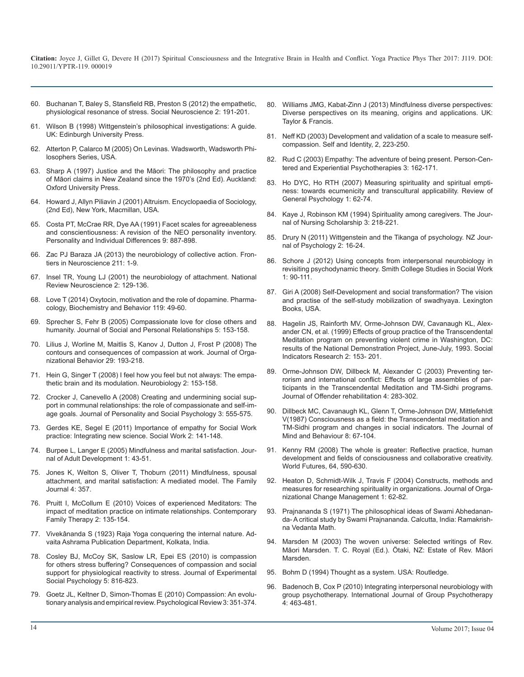- 60. [Buchanan T, Baley S, Stansfield RB, Preston S \(2012\) the empathetic,](https://www.ncbi.nlm.nih.gov/pubmed/21777106)  physiological resonance of stress. Social Neuroscience 2: 191-201.
- 61. [Wilson B \(1998\) Wittgenstein's philosophical investigations: A guide.](https://www.amazon.co.uk/Wittgensteins-Philosophical-Investigations-Brendan-Wilson/dp/0748610596)  UK: Edinburgh University Press.
- 62. Atterton P, Calarco M (2005) On Levinas. Wadsworth, Wadsworth Philosophers Series, USA.
- 63. [Sharp A \(1997\) Justice and the Māori: The philosophy and practice](https://searchworks.stanford.edu/view/3760981)  of Māori claims in New Zealand since the 1970's (2nd Ed). Auckland: [Oxford University Press.](https://searchworks.stanford.edu/view/3760981)
- 64. Howard J, Allyn Piliavin J (2001) Altruism. Encyclopaedia of Sociology, (2nd Ed), New York, Macmillan, USA.
- 65. [Costa PT, McCrae RR, Dye AA \(1991\) Facet scales for agreeableness](http://www.sciencedirect.com/science/article/pii/019188699190177D)  and conscientiousness: A revision of the NEO personality inventory. [Personality and Individual Differences 9: 887-898.](http://www.sciencedirect.com/science/article/pii/019188699190177D)
- 66. [Zac PJ Baraza JA \(2013\) the neurobiology of collective action. Fron](https://www.ncbi.nlm.nih.gov/pubmed/24311995)tiers in Neuroscience 211: 1-9.
- 67. [Insel TR, Young LJ \(2001\) the neurobiology of attachment. National](https://www.ncbi.nlm.nih.gov/pubmed/11252992)  Review Neuroscience 2: 129-136.
- 68. [Love T \(2014\) Oxytocin, motivation and the role of dopamine. Pharma](https://www.ncbi.nlm.nih.gov/pubmed/23850525)cology, Biochemistry and Behavior 119: 49-60.
- 69. [Sprecher S, Fehr B \(2005\) Compassionate love for close others and](http://journals.sagepub.com/doi/abs/10.1177/0265407505056439?journalCode=spra)  humanity. Journal of Social and Personal Relationships 5: 153-158.
- 70. [Lilius J, Worline M, Maitlis S, Kanov J, Dutton J, Frost P \(2008\) The](http://webuser.bus.umich.edu/janedut/Compassion/Contours of compassion final copy in JOB.pdf) contours and consequences of compassion at work. Journal of Orga[nizational Behavior 29: 193-218.](http://webuser.bus.umich.edu/janedut/Compassion/Contours of compassion final copy in JOB.pdf)
- 71. [Hein G, Singer T \(2008\) I feel how you feel but not always: The empa](https://www.ncbi.nlm.nih.gov/pubmed/18692571)thetic brain and its modulation. Neurobiology 2: 153-158.
- 72. [Crocker J, Canevello A \(2008\) Creating and undermining social sup](https://www.ncbi.nlm.nih.gov/pubmed/18729694)port in communal relationships: the role of compassionate and self-im[age goals. Journal of Personality and Social Psychology 3: 555-575.](https://www.ncbi.nlm.nih.gov/pubmed/18729694)
- 73. [Gerdes KE, Segel E \(2011\) Importance of empathy for Social Work](https://www.ncbi.nlm.nih.gov/pubmed/21553577)  practice: Integrating new science. Social Work 2: 141-148.
- 74. [Burpee L, Langer E \(2005\) Mindfulness and marital satisfaction. Jour](https://link.springer.com/article/10.1007/s10804-005-1281-6)nal of Adult Development 1: 43-51.
- 75. [Jones K, Welton S, Oliver T, Thoburn \(2011\) Mindfulness, spousal](http://journals.sagepub.com/doi/abs/10.1177/1066480711417234)  attachment, and marital satisfaction: A mediated model. The Family [Journal 4: 357.](http://journals.sagepub.com/doi/abs/10.1177/1066480711417234)
- 76. [Pruitt I, McCollum E \(2010\) Voices of experienced Meditators: The](https://link.springer.com/article/10.1007/s10591-009-9112-8)  impact of meditation practice on intimate relationships. Contemporary [Family Therapy 2: 135-154.](https://link.springer.com/article/10.1007/s10591-009-9112-8)
- 77. Vivekânanda S (1923) Raja Yoga conquering the internal nature. Advaita Ashrama Publication Department, Kolkata, India.
- 78. [Cosley BJ, McCoy SK, Saslow LR, Epei ES \(2010\) is compassion](http://www.sciencedirect.com/science/article/pii/S0022103110000934)  for others stress buffering? Consequences of compassion and social [support for physiological reactivity to stress. Journal of Experimental](http://www.sciencedirect.com/science/article/pii/S0022103110000934)  [Social Psychology 5: 816-823.](http://www.sciencedirect.com/science/article/pii/S0022103110000934)
- 79. [Goetz JL, Keltner D, Simon-Thomas E \(2010\) Compassion: An evolu](https://www.ncbi.nlm.nih.gov/pubmed/20438142)tionary analysis and empirical review. Psychological Review 3: 351-374.
- 80. [Williams JMG, Kabat-Zinn J \(2013\) Mindfulness diverse perspectives:](https://books.google.co.in/books/about/Mindfulness.html?id=8UKPAQAAQBAJ&redir_esc=y)  [Diverse perspectives on its meaning, origins and applications. UK:](https://www.ncbi.nlm.nih.gov/pubmed/21777106) [Taylor & Francis.](https://books.google.co.in/books/about/Mindfulness.html?id=8UKPAQAAQBAJ&redir_esc=y)
- 81. [Neff KD \(2003\) Development and validation of a scale to measure self](http://self-compassion.org/wp-content/uploads/publications/empirical.article.pdf)compassion. Self and Identity, 2, 223-250.
- 82. [Rud C \(2003\) Empathy: The adventure of being present. Person-Cen](http://www.tandfonline.com/doi/abs/10.1080/14779757.2003.9688309?journalCode=rpcp20)tered and Experiential Psychotherapies 3: 162-171.
- 83. [Ho DYC, Ho RTH \(2007\) Measuring spirituality and spiritual empti](http://www.humiliationstudies.org/documents/HoMeasuringSpiritualityandSpiritualEmptinessFinal.pdf)ness: towards ecumenicity and transcultural applicability. Review of [General Psychology 1: 62-74.](http://www.humiliationstudies.org/documents/HoMeasuringSpiritualityandSpiritualEmptinessFinal.pdf)
- 84. [Kaye J, Robinson KM \(1994\) Spirituality among caregivers. The Jour](http://onlinelibrary.wiley.com/doi/10.1111/j.1547-5069.1994.tb00317.x/full)nal of Nursing Scholarship 3: 218-221.
- 85. [Drury N \(2011\) Wittgenstein and the Tikanga of psychology. NZ Jour](http://www.psychology.org.nz/wp-content/uploads/NZJP-Drury.pdf)nal of Psychology 2: 16-24.
- 86. [Schore J \(2012\) Using concepts from interpersonal neurobiology in](http://www.tandfonline.com/doi/abs/10.1080/00377317.2012.644494) revisiting psychodynamic theory. Smith College Studies in Social Work [1: 90-111.](http://www.tandfonline.com/doi/abs/10.1080/00377317.2012.644494)
- 87. [Giri A \(2008\) Self-Development and social transformation? The vision](https://www.ncbi.nlm.nih.gov/pubmed/11252992)  and practise of the self-study mobilization of swadhyaya. Lexington [Books, USA.](https://www.ncbi.nlm.nih.gov/pubmed/23850525)
- 88. [Hagelin JS, Rainforth MV, Orme-Johnson DW, Cavanaugh KL, Alex](https://link.springer.com/article/10.1023/A:1006978911496)[ander CN, et al. \(1999\) Effects of group practice of the Transcendental](http://journals.sagepub.com/doi/abs/10.1177/0265407505056439?journalCode=spra) [Meditation program on preventing violent crime in Washington, DC:](https://link.springer.com/article/10.1023/A:1006978911496)  [results of the National Demonstration Project, June-July, 1993. Social](https://link.springer.com/article/10.1023/A:1006978911496) [Indicators Research 2: 153- 201.](https://link.springer.com/article/10.1023/A:1006978911496)
- 89. [Orme-Johnson DW, Dillbeck M, Alexander C \(2003\) Preventing ter](https://www.gusp.org/pdf/JOR_OJ_Rand_review.pdf)[rorism and international conflict: Effects of large assemblies of par](https://www.ncbi.nlm.nih.gov/pubmed/18692571)[ticipants in the Transcendental Meditation and TM-Sidhi programs.](https://www.gusp.org/pdf/JOR_OJ_Rand_review.pdf)  [Journal of Offender rehabilitation 4: 283-302.](https://www.gusp.org/pdf/JOR_OJ_Rand_review.pdf)
- 90. [Dillbeck MC, Cavanaugh KL, Glenn T, Orme-Johnson DW, Mittlefehldt](https://www.jstor.org/stable/43853335?seq=1#page_scan_tab_contents) V(1987) Consciousness as a field: the Transcendental meditation and [TM-Sidhi program and changes in social indicators. The Journal of](https://www.jstor.org/stable/43853335?seq=1#page_scan_tab_contents) [Mind and Behaviour 8: 67-104.](https://www.ncbi.nlm.nih.gov/pubmed/21553577)
- 91. [Kenny RM \(2008\) The whole is greater: Reflective practice, human](http://www.tandfonline.com/doi/abs/10.1080/02604020802392195)  [development and fields of consciousness and collaborative creativity.](https://link.springer.com/article/10.1007/s10804-005-1281-6)  [World Futures, 64, 590-630.](http://www.tandfonline.com/doi/abs/10.1080/02604020802392195)
- 92. [Heaton D, Schmidt-Wilk J, Travis F \(2004\) Constructs, methods and](http://journals.sagepub.com/doi/abs/10.1177/1066480711417234)  measures for researching spirituality in organizations. Journal of Orga[nizational Change Management 1: 62-82.](http://www.emeraldinsight.com/doi/abs/10.1108/09534810410511305)
- 93. [Prajnananda S \(1971\) The philosophical ideas of Swami Abhedanan](https://link.springer.com/article/10.1007/s10591-009-9112-8)da- A critical study by Swami Prajnananda. Calcutta, India: Ramakrish[na Vedanta Math.](https://books.google.co.in/books/about/The_Philosophical_Ideas_of_Swami_Abhedan.html?id=pnYgAAAAMAAJ&redir_esc=y)
- 94. [Marsden M \(2003\) The woven universe: Selected writings of Rev.](https://books.google.co.nz/books/about/The_Woven_Universe.html?id=Hip9AAAACAAJ)  Māori Marsden. T. C. Royal (Ed.). Ötaki, NZ: Estate of Rev. Māori [Marsden.](https://books.google.co.nz/books/about/The_Woven_Universe.html?id=Hip9AAAACAAJ)
- 95. [Bohm D \(1994\) Thought as a system. USA: Routledge.](https://www.abebooks.com/Thought-System-David-Bohm-Routledge/14094429501/bd)
- 96. [Badenoch B, Cox P \(2010\) Integrating interpersonal neurobiology with](https://www.ncbi.nlm.nih.gov/pubmed/21028972)  group psychotherapy. International Journal of Group Psychotherapy [4: 463-481](https://www.ncbi.nlm.nih.gov/pubmed/21028972)[.](https://www.ncbi.nlm.nih.gov/pubmed/20438142)